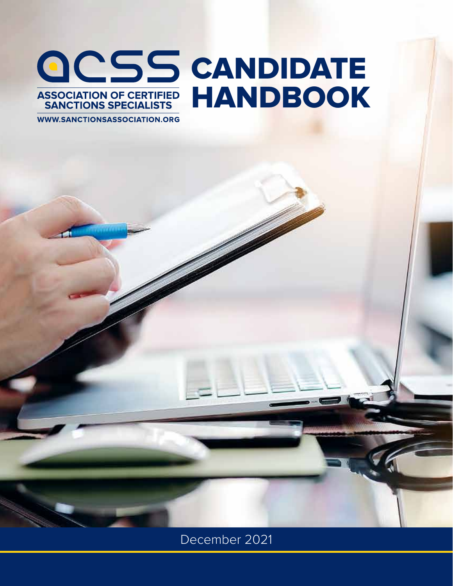# CANDIDATE HANDBOOK

**WWW.SANCTIONSASSOCIATION.ORG** 

December 2021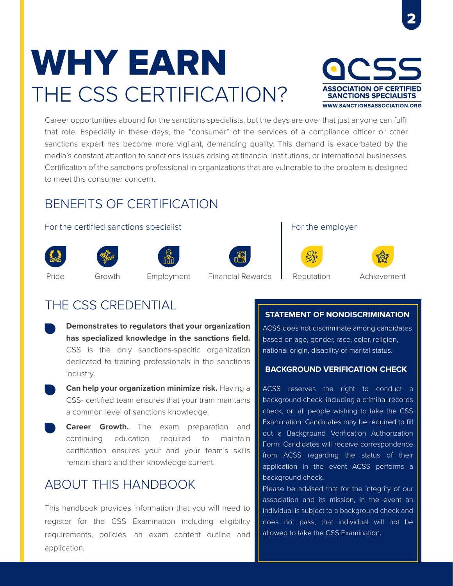# THE CSS CERTIFICATION? WHY EARN



Career opportunities abound for the sanctions specialists, but the days are over that just anyone can fulfil that role. Especially in these days, the "consumer" of the services of a compliance officer or other sanctions expert has become more vigilant, demanding quality. This demand is exacerbated by the media's constant attention to sanctions issues arising at financial institutions, or international businesses. Certification of the sanctions professional in organizations that are vulnerable to the problem is designed to meet this consumer concern.

# BENEFITS OF CERTIFICATION

#### For the certified sanctions specialist For the employer















# Pride Growth Employment Financial Rewards Reputation Achievement

# THE CSS CREDENTIAL

- **Demonstrates to regulators that your organization has specialized knowledge in the sanctions field.**  CSS is the only sanctions-specific organization dedicated to training professionals in the sanctions industry.
- **Can help your organization minimize risk.** Having a CSS- certified team ensures that your tram maintains a common level of sanctions knowledge.
- **Career Growth.** The exam preparation and continuing education required to maintain certification ensures your and your team's skills remain sharp and their knowledge current.

# ABOUT THIS HANDBOOK

This handbook provides information that you will need to register for the CSS Examination including eligibility requirements, policies, an exam content outline and application.

### **STATEMENT OF NONDISCRIMINATION**

ACSS does not discriminate among candidates based on age, gender, race, color, religion, national origin, disability or marital status.

### **BACKGROUND VERIFICATION CHECK**

ACSS reserves the right to conduct a background check, including a criminal records check, on all people wishing to take the CSS Examination. Candidates may be required to fill out a Background Verification Authorization Form. Candidates will receive correspondence from ACSS regarding the status of their application in the event ACSS performs a background check.

Please be advised that for the integrity of our association and its mission, in the event an individual is subject to a background check and does not pass, that individual will not be allowed to take the CSS Examination.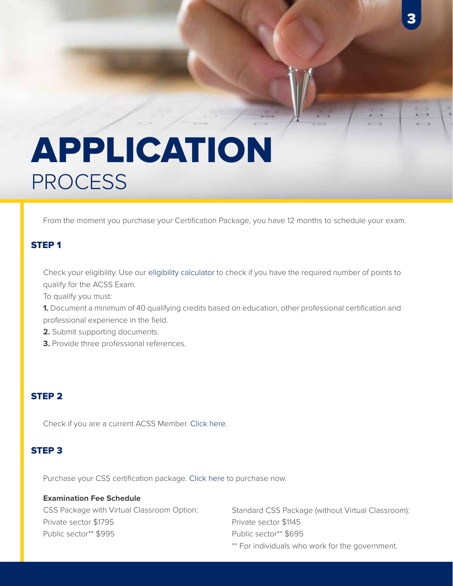# PROCESS APPLICATION

From the moment you purchase your Certification Package, you have 12 months to schedule your exam.

# STEP 1

Check your eligibility. Use our eligibility calculator to check if you have the required number of points to qualify for the ACSS Exam.

To qualify you must:

**1.** Document a minimum of 40 qualifying credits based on education, other professional certification and professional experience in the field.

- **2.** Submit supporting documents.
- **3.** Provide three professional references.

### STEP 2

Check if you are a current ACSS Member. Click here.

### STEP 3

Purchase your CSS certification package. Click here to purchase now.

### **Examination Fee Schedule**

CSS Package with Virtual Classroom Option: Private sector \$1795 Public sector\*\* \$995

Standard CSS Package (without Virtual Classroom): Private sector \$1145 Public sector\*\* \$695 \*\* For individuals who work for the government.

3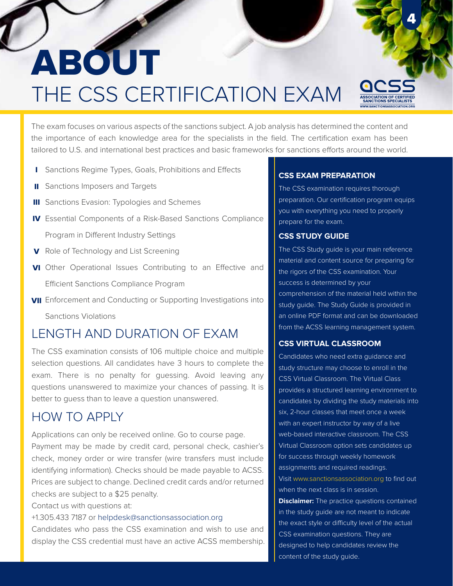# THE CSS CERTIFICATION EXAM ABOUT

The exam focuses on various aspects of the sanctions subject. A job analysis has determined the content and the importance of each knowledge area for the specialists in the field. The certification exam has been tailored to U.S. and international best practices and basic frameworks for sanctions efforts around the world.

- I Sanctions Regime Types, Goals, Prohibitions and Effects
- **II** Sanctions Imposers and Targets
- **III** Sanctions Evasion: Typologies and Schemes
- IV Essential Components of a Risk-Based Sanctions Compliance Program in Different Industry Settings
- V Role of Technology and List Screening
- VI Other Operational Issues Contributing to an Effective and Efficient Sanctions Compliance Program
- **VII** Enforcement and Conducting or Supporting Investigations into

Sanctions Violations

# LENGTH AND DURATION OF EXAM

The CSS examination consists of 106 multiple choice and multiple selection questions. All candidates have 3 hours to complete the exam. There is no penalty for guessing. Avoid leaving any questions unanswered to maximize your chances of passing. It is better to guess than to leave a question unanswered.

# HOW TO APPLY

Applications can only be received online. Go to course page. Payment may be made by credit card, personal check, cashier's check, money order or wire transfer (wire transfers must include identifying information). Checks should be made payable to ACSS. Prices are subject to change. Declined credit cards and/or returned checks are subject to a \$25 penalty.

Contact us with questions at:

+1.305.433 7187 or helpdesk@sanctionsassociation.org

Candidates who pass the CSS examination and wish to use and display the CSS credential must have an active ACSS membership.

#### **CSS EXAM PREPARATION**

The CSS examination requires thorough preparation. Our certification program equips you with everything you need to properly prepare for the exam.

### **CSS STUDY GUIDE**

The CSS Study guide is your main reference material and content source for preparing for the rigors of the CSS examination. Your success is determined by your comprehension of the material held within the study guide. The Study Guide is provided in an online PDF format and can be downloaded from the ACSS learning management system.

#### **CSS VIRTUAL CLASSROOM**

Candidates who need extra guidance and study structure may choose to enroll in the CSS Virtual Classroom. The Virtual Class provides a structured learning environment to candidates by dividing the study materials into six, 2-hour classes that meet once a week with an expert instructor by way of a live web-based interactive classroom. The CSS Virtual Classroom option sets candidates up for success through weekly homework assignments and required readings. Visit www.sanctionsassociation.org to find out when the next class is in session. **Disclaimer:** The practice questions contained in the study guide are not meant to indicate the exact style or difficulty level of the actual CSS examination questions. They are designed to help candidates review the content of the study guide.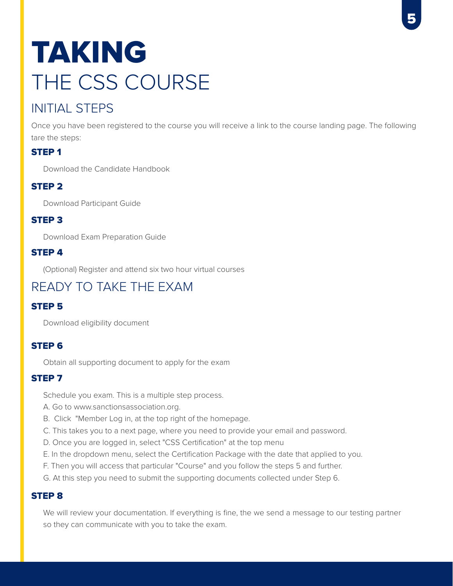# THE CSS COURSE TAKING

# INITIAL STEPS

Once you have been registered to the course you will receive a link to the course landing page. The following tare the steps:

# STEP 1

Download the Candidate Handbook

# STEP 2

Download Participant Guide

# STEP 3

Download Exam Preparation Guide

# STEP 4

(Optional) Register and attend six two hour virtual courses

# READY TO TAKE THE EXAM

# STEP 5

Download eligibility document

# STEP 6

Obtain all supporting document to apply for the exam

## STEP 7

Schedule you exam. This is a multiple step process.

- A. Go to www.sanctionsassociation.org.
- B. Click "Member Log in, at the top right of the homepage.
- C. This takes you to a next page, where you need to provide your email and password.
- D. Once you are logged in, select "CSS Certification" at the top menu
- E. In the dropdown menu, select the Certification Package with the date that applied to you.
- F. Then you will access that particular "Course" and you follow the steps 5 and further.
- G. At this step you need to submit the supporting documents collected under Step 6.

### STEP 8

We will review your documentation. If everything is fine, the we send a message to our testing partner so they can communicate with you to take the exam.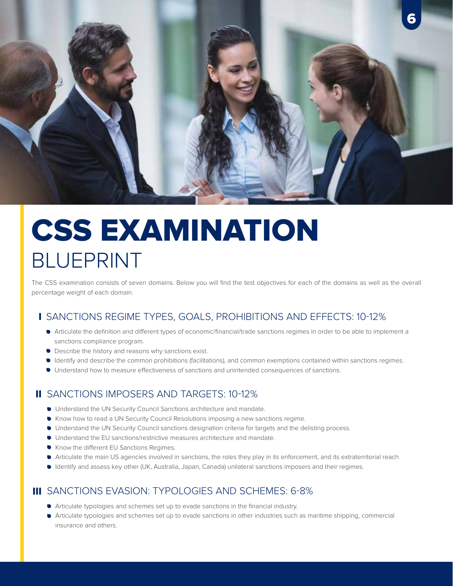

# BLUEPRINT CSS EXAMINATION

The CSS examination consists of seven domains. Below you will find the test objectives for each of the domains as well as the overall percentage weight of each domain.

# SANCTIONS REGIME TYPES, GOALS, PROHIBITIONS AND EFFECTS: 10-12% I

- Articulate the definition and different types of economic/financial/trade sanctions regimes in order to be able to implement a sanctions compliance program.
- **Describe the history and reasons why sanctions exist.**
- Identify and describe the common prohibitions (facilitations), and common exemptions contained within sanctions regimes.
- Understand how to measure effectiveness of sanctions and unintended consequences of sanctions.

# II SANCTIONS IMPOSERS AND TARGETS: 10-12%

- $\bullet$  Understand the UN Security Council Sanctions architecture and mandate.
- Know how to read a UN Security Council Resolutions imposing a new sanctions regime.
- Understand the UN Security Council sanctions designation criteria for targets and the delisting process.
- Understand the EU sanctions/restrictive measures architecture and mandate.
- Know the different EU Sanctions Regimes.
- Articulate the main US agencies involved in sanctions, the roles they play in its enforcement, and its extraterritorial reach
- Identify and assess key other (UK, Australia, Japan, Canada) unilateral sanctions imposers and their regimes.

# III SANCTIONS EVASION: TYPOLOGIES AND SCHEMES: 6-8%

- Articulate typologies and schemes set up to evade sanctions in the financial industry.
- Articulate typologies and schemes set up to evade sanctions in other industries such as maritime shipping, commercial insurance and others.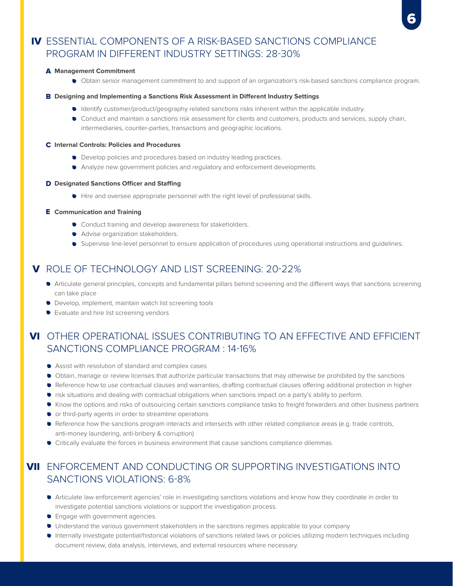# IV ESSENTIAL COMPONENTS OF A RISK-BASED SANCTIONS COMPLIANCE PROGRAM IN DIFFERENT INDUSTRY SETTINGS: 28-30%

#### **Management Commitment** A

Obtain senior management commitment to and support of an organization's risk-based sanctions compliance program.

#### **B** Designing and Implementing a Sanctions Risk Assessment in Different Industry Settings

- Identify customer/product/geography related sanctions risks inherent within the applicable industry.
- Conduct and maintain a sanctions risk assessment for clients and customers, products and services, supply chain, intermediaries, counter-parties, transactions and geographic locations.

#### **Internal Controls: Policies and Procedures** C

- Develop policies and procedures based on industry leading practices.
- Analyze new government policies and regulatory and enforcement developments.

#### **D** Designated Sanctions Officer and Staffing

 $\bullet$  Hire and oversee appropriate personnel with the right level of professional skills.

#### **Communication and Training** E

- **•** Conduct training and develop awareness for stakeholders.
- **Advise organization stakeholders.**
- Supervise line-level personnel to ensure application of procedures using operational instructions and guidelines.

# **V** ROLE OF TECHNOLOGY AND LIST SCREENING: 20-22%

- Articulate general principles, concepts and fundamental pillars behind screening and the different ways that sanctions screening can take place
- Develop, implement, maintain watch list screening tools
- **•** Evaluate and hire list screening vendors

# **VI** OTHER OPERATIONAL ISSUES CONTRIBUTING TO AN EFFECTIVE AND EFFICIENT SANCTIONS COMPLIANCE PROGRAM : 14-16%

- Assist with resolution of standard and complex cases
- Obtain, manage or review licenses that authorize particular transactions that may otherwise be prohibited by the sanctions
- Reference how to use contractual clauses and warranties, drafting contractual clauses offering additional protection in higher
- risk situations and dealing with contractual obligations when sanctions impact on a party's ability to perform.
- Know the options and risks of outsourcing certain sanctions compliance tasks to freight forwarders and other business partners
- or third-party agents in order to streamline operations
- Reference how the sanctions program interacts and intersects with other related compliance areas (e.g. trade controls, anti-money laundering, anti-bribery & corruption)
- Critically evaluate the forces in business environment that cause sanctions compliance dilemmas.

# **VII** ENFORCEMENT AND CONDUCTING OR SUPPORTING INVESTIGATIONS INTO SANCTIONS VIOLATIONS: 6-8%

- Articulate law enforcement agencies' role in investigating sanctions violations and know how they coordinate in order to investigate potential sanctions violations or support the investigation process.
- **•** Engage with government agencies.
- Understand the various government stakeholders in the sanctions regimes applicable to your company
- Internally investigate potential/historical violations of sanctions related laws or policies utilizing modern techniques including document review, data analysis, interviews, and external resources where necessary.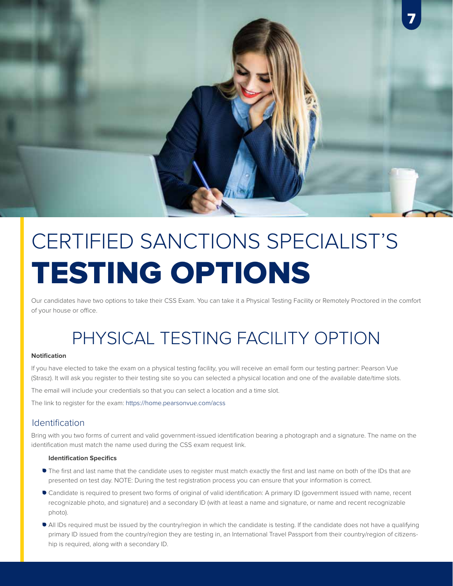

# CERTIFIED SANCTIONS SPECIALIST'S TESTING OPTIONS

Our candidates have two options to take their CSS Exam. You can take it a Physical Testing Facility or Remotely Proctored in the comfort of your house or office.

# PHYSICAL TESTING FACILITY OPTION

#### **Notification**

If you have elected to take the exam on a physical testing facility, you will receive an email form our testing partner: Pearson Vue (Strasz). It will ask you register to their testing site so you can selected a physical location and one of the available date/time slots.

The email will include your credentials so that you can select a location and a time slot.

The link to register for the exam: https://home.pearsonvue.com/acss

### Identification

Bring with you two forms of current and valid government-issued identification bearing a photograph and a signature. The name on the identification must match the name used during the CSS exam request link.

#### **Identification Specifics**

- The first and last name that the candidate uses to register must match exactly the first and last name on both of the IDs that are presented on test day. NOTE: During the test registration process you can ensure that your information is correct.
- Candidate is required to present two forms of original of valid identification: A primary ID (government issued with name, recent recognizable photo, and signature) and a secondary ID (with at least a name and signature, or name and recent recognizable photo).
- All IDs required must be issued by the country/region in which the candidate is testing. If the candidate does not have a qualifying primary ID issued from the country/region they are testing in, an International Travel Passport from their country/region of citizenship is required, along with a secondary ID.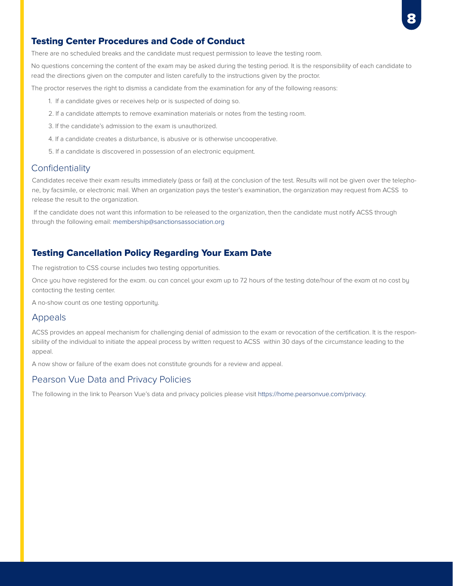

#### Testing Center Procedures and Code of Conduct

There are no scheduled breaks and the candidate must request permission to leave the testing room.

No questions concerning the content of the exam may be asked during the testing period. It is the responsibility of each candidate to read the directions given on the computer and listen carefully to the instructions given by the proctor.

The proctor reserves the right to dismiss a candidate from the examination for any of the following reasons:

- 1. If a candidate gives or receives help or is suspected of doing so.
- 2. If a candidate attempts to remove examination materials or notes from the testing room.
- 3. If the candidate's admission to the exam is unauthorized.
- 4. If a candidate creates a disturbance, is abusive or is otherwise uncooperative.
- 5. If a candidate is discovered in possession of an electronic equipment.

#### **Confidentiality**

Candidates receive their exam results immediately (pass or fail) at the conclusion of the test. Results will not be given over the telephone, by facsimile, or electronic mail. When an organization pays the tester's examination, the organization may request from ACSS to release the result to the organization.

 If the candidate does not want this information to be released to the organization, then the candidate must notify ACSS through through the following email: membership@sanctionsassociation.org

#### Testing Cancellation Policy Regarding Your Exam Date

The registration to CSS course includes two testing opportunities.

Once you have registered for the exam. ou can cancel your exam up to 72 hours of the testing date/hour of the exam at no cost by contacting the testing center.

A no-show count as one testing opportunity.

#### Appeals

ACSS provides an appeal mechanism for challenging denial of admission to the exam or revocation of the certification. It is the responsibility of the individual to initiate the appeal process by written request to ACSS within 30 days of the circumstance leading to the appeal.

A now show or failure of the exam does not constitute grounds for a review and appeal.

### Pearson Vue Data and Privacy Policies

The following in the link to Pearson Vue's data and privacy policies please visit https://home.pearsonvue.com/privacy.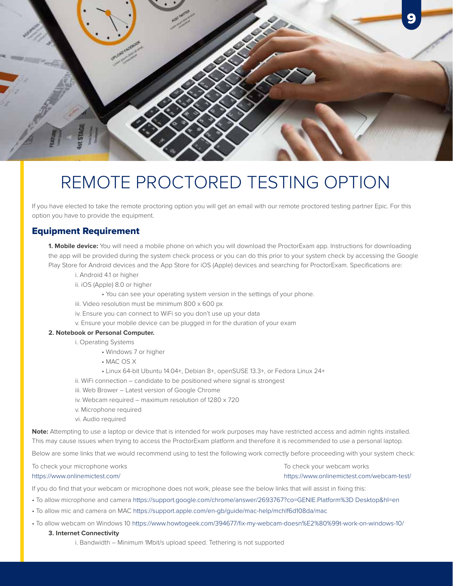

# REMOTE PROCTORED TESTING OPTION

If you have elected to take the remote proctoring option you will get an email with our remote proctored testing partner Epic. For this option you have to provide the equipment.

### Equipment Requirement

**1. Mobile device:** You will need a mobile phone on which you will download the ProctorExam app. Instructions for downloading the app will be provided during the system check process or you can do this prior to your system check by accessing the Google Play Store for Android devices and the App Store for iOS (Apple) devices and searching for ProctorExam. Specifications are:

- i. Android 4.1 or higher
- ii. iOS (Apple) 8.0 or higher
	- You can see your operating system version in the settings of your phone.
- iii. Video resolution must be minimum 800 x 600 px
- iv. Ensure you can connect to WiFi so you don't use up your data
- v. Ensure your mobile device can be plugged in for the duration of your exam

#### **2. Notebook or Personal Computer.**

i. Operating Systems

- Windows 7 or higher
- MAC OS X
- Linux 64-bit Ubuntu 14.04+, Debian 8+, openSUSE 13.3+, or Fedora Linux 24+
- ii. WiFi connection candidate to be positioned where signal is strongest
- iii. Web Brower Latest version of Google Chrome
- iv. Webcam required maximum resolution of 1280 x 720
- v. Microphone required
- vi. Audio required

**Note:** Attempting to use a laptop or device that is intended for work purposes may have restricted access and admin rights installed. This may cause issues when trying to access the ProctorExam platform and therefore it is recommended to use a personal laptop.

Below are some links that we would recommend using to test the following work correctly before proceeding with your system check:

To check your microphone works https://www.onlinemictest.com/

To check your webcam works https://www.onlinemictest.com/webcam-test/

If you do find that your webcam or microphone does not work, please see the below links that will assist in fixing this:

- To allow microphone and camera https://support.google.com/chrome/answer/2693767?co=GENIE.Platform%3D Desktop&hl=en
- To allow mic and camera on MAC https://support.apple.com/en-gb/guide/mac-help/mchlf6d108da/mac
- To allow webcam on Windows 10 https://www.howtogeek.com/394677/fix-my-webcam-doesn%E2%80%99t-work-on-windows-10/

#### **3. Internet Connectivity**

i. Bandwidth – Minimum 1Mbit/s upload speed. Tethering is not supported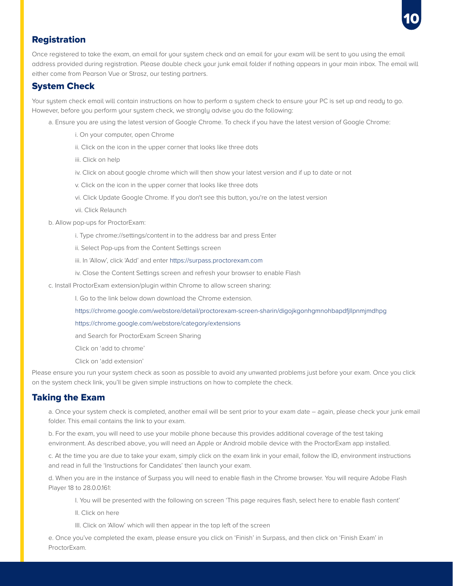

### **Registration**

Once registered to take the exam, an email for your system check and an email for your exam will be sent to you using the email address provided during registration. Please double check your junk email folder if nothing appears in your main inbox. The email will either come from Pearson Vue or Strasz, our testing partners.

### System Check

Your system check email will contain instructions on how to perform a system check to ensure your PC is set up and ready to go. However, before you perform your system check, we strongly advise you do the following:

- a. Ensure you are using the latest version of Google Chrome. To check if you have the latest version of Google Chrome:
	- i. On your computer, open Chrome
	- ii. Click on the icon in the upper corner that looks like three dots
	- iii. Click on help
	- iv. Click on about google chrome which will then show your latest version and if up to date or not
	- v. Click on the icon in the upper corner that looks like three dots
	- vi. Click Update Google Chrome. If you don't see this button, you're on the latest version
	- vii. Click Relaunch
- b. Allow pop-ups for ProctorExam:
	- i. Type chrome://settings/content in to the address bar and press Enter
	- ii. Select Pop-ups from the Content Settings screen
	- iii. In 'Allow', click 'Add' and enter https://surpass.proctorexam.com
	- iv. Close the Content Settings screen and refresh your browser to enable Flash
- c. Install ProctorExam extension/plugin within Chrome to allow screen sharing:
	- I. Go to the link below down download the Chrome extension.
	- https://chrome.google.com/webstore/detail/proctorexam-screen-sharin/digojkgonhgmnohbapdfjllpnmjmdhpg
	- https://chrome.google.com/webstore/category/extensions
	- and Search for ProctorExam Screen Sharing
	- Click on 'add to chrome'
	- Click on 'add extension'

Please ensure you run your system check as soon as possible to avoid any unwanted problems just before your exam. Once you click on the system check link, you'll be given simple instructions on how to complete the check.

#### Taking the Exam

a. Once your system check is completed, another email will be sent prior to your exam date – again, please check your junk email folder. This email contains the link to your exam.

b. For the exam, you will need to use your mobile phone because this provides additional coverage of the test taking environment. As described above, you will need an Apple or Android mobile device with the ProctorExam app installed.

c. At the time you are due to take your exam, simply click on the exam link in your email, follow the ID, environment instructions and read in full the 'Instructions for Candidates' then launch your exam.

d. When you are in the instance of Surpass you will need to enable flash in the Chrome browser. You will require Adobe Flash Player 18 to 28.0.0.161:

- I. You will be presented with the following on screen 'This page requires flash, select here to enable flash content'
- II. Click on here
- III. Click on 'Allow' which will then appear in the top left of the screen

e. Once you've completed the exam, please ensure you click on 'Finish' in Surpass, and then click on 'Finish Exam' in ProctorExam.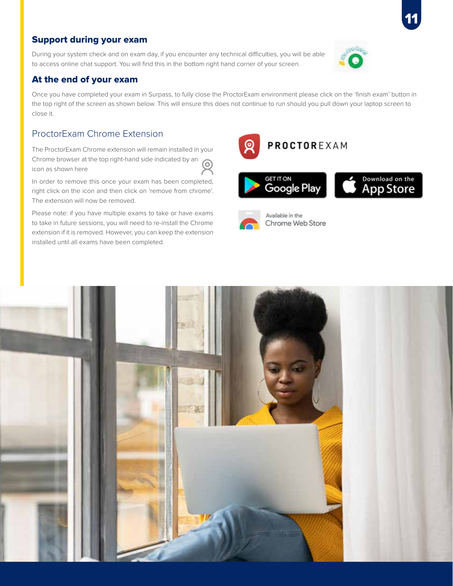# Support during your exam

During your system check and on exam day, if you encounter any technical difficulties, you will be able to access online chat support. You will find this in the bottom right hand corner of your screen.

### At the end of your exam

Once you have completed your exam in Surpass, to fully close the ProctorExam environment please click on the 'finish exam' button in the top right of the screen as shown below. This will ensure this does not continue to run should you pull down your laptop screen to close it.

# ProctorExam Chrome Extension

The ProctorExam Chrome extension will remain installed in your Chrome browser at the top right-hand side indicated by an icon as shown here

In order to remove this once your exam has been completed, right click on the icon and then click on 'remove from chrome'. The extension will now be removed.

Please note: if you have multiple exams to take or have exams to take in future sessions, you will need to re-install the Chrome extension if it is removed. However, you can keep the extension installed until all exams have been completed.

PROCTOREXAM





Chrome Web Store



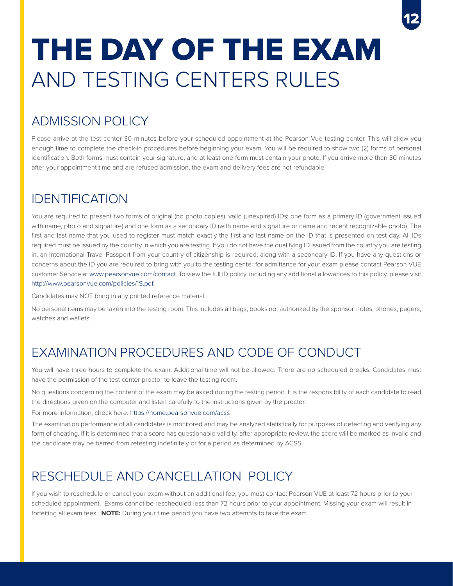# AND TESTING CENTERS RULES THE DAY OF THE EXAM

# ADMISSION POLICY

Please arrive at the test center 30 minutes before your scheduled appointment at the Pearson Vue testing center. This will allow you enough time to complete the check-in procedures before beginning your exam. You will be required to show two (2) forms of personal identification. Both forms must contain your signature, and at least one form must contain your photo. If you arrive more than 30 minutes after your appointment time and are refused admission, the exam and delivery fees are not refundable.

12

# IDENTIFICATION

You are required to present two forms of original (no photo copies), valid (unexpired) IDs; one form as a primary ID (government issued with name, photo and signature) and one form as a secondary ID (with name and signature or name and recent recognizable photo). The first and last name that you used to register must match exactly the first and last name on the ID that is presented on test day. All IDs required must be issued by the country in which you are testing. If you do not have the qualifying ID issued from the country you are testing in, an International Travel Passport from your country of citizenship is required, along with a secondary ID. If you have any questions or concerns about the ID you are required to bring with you to the testing center for admittance for your exam please contact Pearson VUE customer Service at www.pearsonvue.com/contact. To view the full ID policy, including any additional allowances to this policy, please visit http://www.pearsonvue.com/policies/1S.pdf.

Candidates may NOT bring in any printed reference material.

No personal items may be taken into the testing room. This includes all bags, books not authorized by the sponsor, notes, phones, pagers, watches and wallets.

# EXAMINATION PROCEDURES AND CODE OF CONDUCT

You will have three hours to complete the exam. Additional time will not be allowed. There are no scheduled breaks. Candidates must have the permission of the test center proctor to leave the testing room.

No questions concerning the content of the exam may be asked during the testing period. It is the responsibility of each candidate to read the directions given on the computer and listen carefully to the instructions given by the proctor.

For more information, check here: https://home.pearsonvue.com/acss

The examination performance of all candidates is monitored and may be analyzed statistically for purposes of detecting and verifying any form of cheating. If it is determined that a score has questionable validity, after appropriate review, the score will be marked as invalid and the candidate may be barred from retesting indefinitely or for a period as determined by ACSS.

# RESCHEDULE AND CANCELLATION POLICY

If you wish to reschedule or cancel your exam without an additional fee, you must contact Pearson VUE at least 72 hours prior to your scheduled appointment. Exams cannot be rescheduled less than 72 hours prior to your appointment. Missing your exam will result in forfeiting all exam fees. **NOTE:** During your time period you have two attempts to take the exam.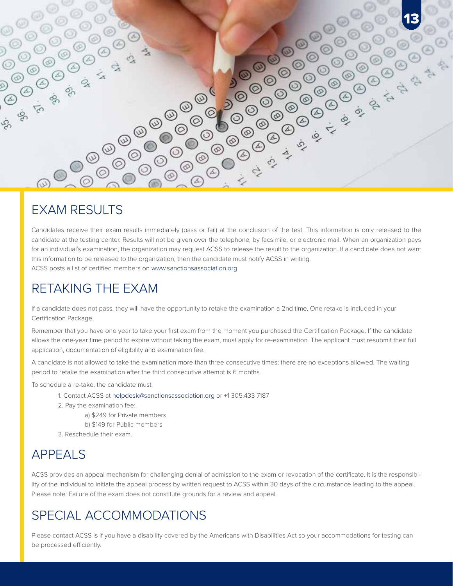

# EXAM RESULTS

Candidates receive their exam results immediately (pass or fail) at the conclusion of the test. This information is only released to the candidate at the testing center. Results will not be given over the telephone, by facsimile, or electronic mail. When an organization pays for an individual's examination, the organization may request ACSS to release the result to the organization. If a candidate does not want this information to be released to the organization, then the candidate must notify ACSS in writing. ACSS posts a list of certified members on www.sanctionsassociation.org

# RETAKING THE EXAM

If a candidate does not pass, they will have the opportunity to retake the examination a 2nd time. One retake is included in your Certification Package.

Remember that you have one year to take your first exam from the moment you purchased the Certification Package. If the candidate allows the one-year time period to expire without taking the exam, must apply for re-examination. The applicant must resubmit their full application, documentation of eligibility and examination fee.

A candidate is not allowed to take the examination more than three consecutive times; there are no exceptions allowed. The waiting period to retake the examination after the third consecutive attempt is 6 months.

To schedule a re-take, the candidate must:

- 1. Contact ACSS at helpdesk@sanctionsassociation.org or +1 305.433 7187
- 2. Pay the examination fee:
	- a) \$249 for Private members
	- b) \$149 for Public members
- 3. Reschedule their exam.

# APPEALS

ACSS provides an appeal mechanism for challenging denial of admission to the exam or revocation of the certificate. It is the responsibility of the individual to initiate the appeal process by written request to ACSS within 30 days of the circumstance leading to the appeal. Please note: Failure of the exam does not constitute grounds for a review and appeal.

# SPECIAL ACCOMMODATIONS

Please contact ACSS is if you have a disability covered by the Americans with Disabilities Act so your accommodations for testing can be processed efficiently.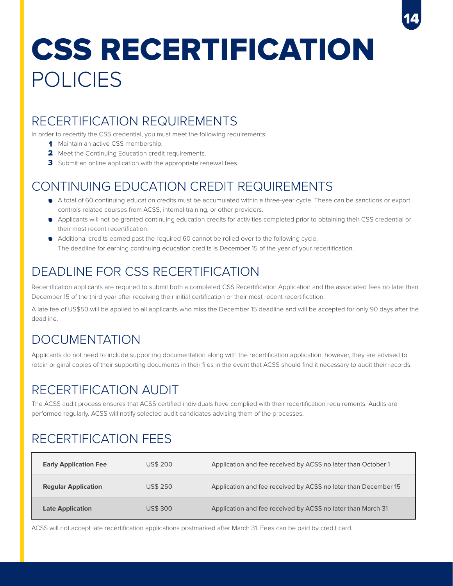# POLICIES CSS RECERTIFICATION

14

# RECERTIFICATION REQUIREMENTS

In order to recertify the CSS credential, you must meet the following requirements:

- 1 Maintain an active CSS membership.
- 2 Meet the Continuing Education credit requirements.
- 3 Submit an online application with the appropriate renewal fees.

# CONTINUING EDUCATION CREDIT REQUIREMENTS

- A total of 60 continuing education credits must be accumulated within a three-year cycle. These can be sanctions or export controls related courses from ACSS, internal training, or other providers.
- Applicants will not be granted continuing education credits for activities completed prior to obtaining their CSS credential or their most recent recertification.
- Additional credits earned past the required 60 cannot be rolled over to the following cycle. The deadline for earning continuing education credits is December 15 of the year of your recertification.

# DEADLINE FOR CSS RECERTIFICATION

Recertification applicants are required to submit both a completed CSS Recertification Application and the associated fees no later than December 15 of the third year after receiving their initial certification or their most recent recertification.

A late fee of US\$50 will be applied to all applicants who miss the December 15 deadline and will be accepted for only 90 days after the deadline.

# DOCUMENTATION

Applicants do not need to include supporting documentation along with the recertification application; however, they are advised to retain original copies of their supporting documents in their files in the event that ACSS should find it necessary to audit their records.

# RECERTIFICATION AUDIT

The ACSS audit process ensures that ACSS certified individuals have complied with their recertification requirements. Audits are performed regularly. ACSS will notify selected audit candidates advising them of the processes.

# RECERTIFICATION FEES

| <b>Early Application Fee</b> | <b>US\$ 200</b> | Application and fee received by ACSS no later than October 1   |
|------------------------------|-----------------|----------------------------------------------------------------|
| <b>Regular Application</b>   | <b>US\$ 250</b> | Application and fee received by ACSS no later than December 15 |
| <b>Late Application</b>      | <b>US\$300</b>  | Application and fee received by ACSS no later than March 31    |

ACSS will not accept late recertification applications postmarked after March 31. Fees can be paid by credit card.